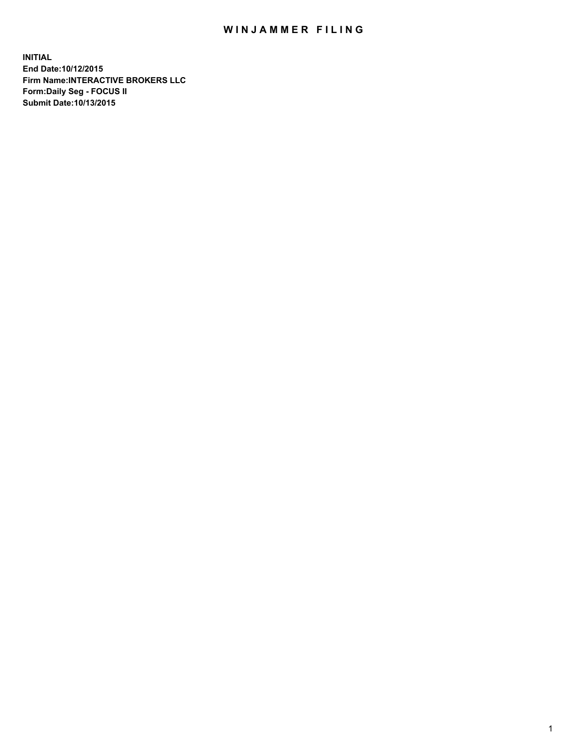## WIN JAMMER FILING

**INITIAL End Date:10/12/2015 Firm Name:INTERACTIVE BROKERS LLC Form:Daily Seg - FOCUS II Submit Date:10/13/2015**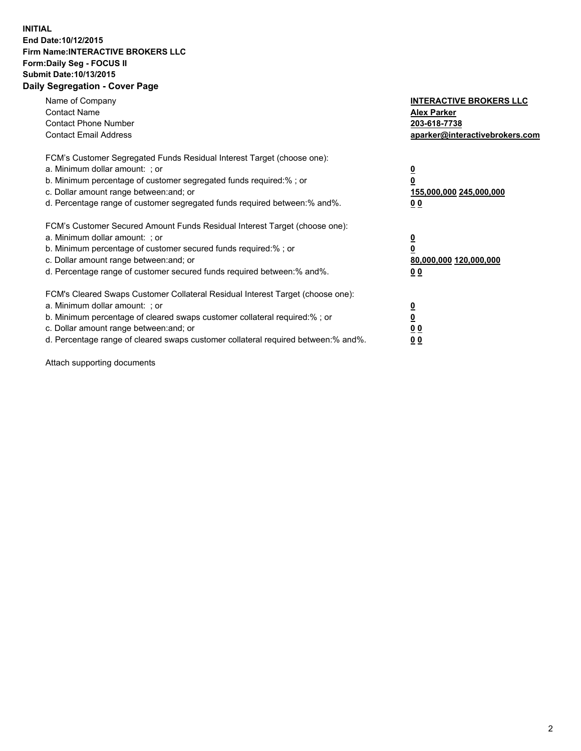## **INITIAL End Date:10/12/2015 Firm Name:INTERACTIVE BROKERS LLC Form:Daily Seg - FOCUS II Submit Date:10/13/2015 Daily Segregation - Cover Page**

| Name of Company<br><b>Contact Name</b><br><b>Contact Phone Number</b><br><b>Contact Email Address</b>                                                                                                                                                                                                                          | <b>INTERACTIVE BROKERS LLC</b><br><b>Alex Parker</b><br>203-618-7738<br>aparker@interactivebrokers.com |
|--------------------------------------------------------------------------------------------------------------------------------------------------------------------------------------------------------------------------------------------------------------------------------------------------------------------------------|--------------------------------------------------------------------------------------------------------|
| FCM's Customer Segregated Funds Residual Interest Target (choose one):<br>a. Minimum dollar amount: ; or<br>b. Minimum percentage of customer segregated funds required:% ; or<br>c. Dollar amount range between: and; or<br>d. Percentage range of customer segregated funds required between:% and%.                         | <u>0</u><br>155,000,000 245,000,000<br><u>00</u>                                                       |
| FCM's Customer Secured Amount Funds Residual Interest Target (choose one):<br>a. Minimum dollar amount: ; or<br>b. Minimum percentage of customer secured funds required:%; or<br>c. Dollar amount range between: and; or<br>d. Percentage range of customer secured funds required between: % and %.                          | $\overline{\mathbf{0}}$<br>80,000,000 120,000,000<br><u>00</u>                                         |
| FCM's Cleared Swaps Customer Collateral Residual Interest Target (choose one):<br>a. Minimum dollar amount: ; or<br>b. Minimum percentage of cleared swaps customer collateral required:% ; or<br>c. Dollar amount range between: and; or<br>d. Percentage range of cleared swaps customer collateral required between:% and%. | <u>0</u><br>0 <sub>0</sub><br>0 <sub>0</sub>                                                           |

Attach supporting documents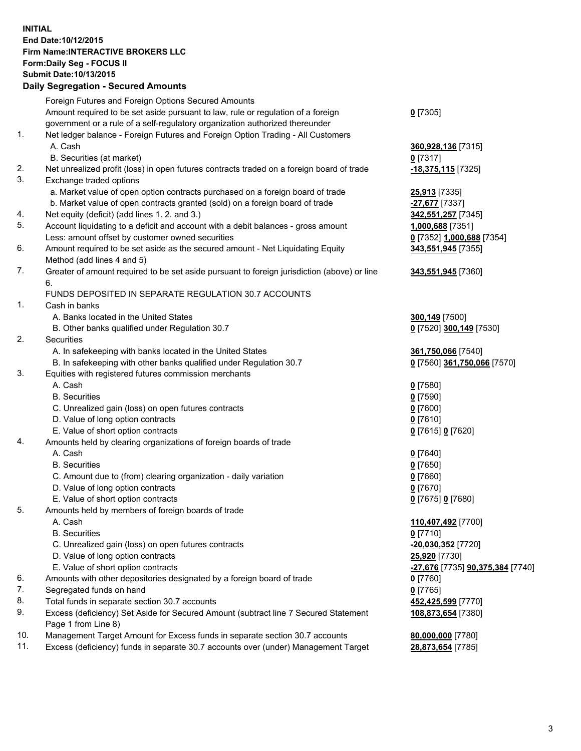## **INITIAL End Date:10/12/2015 Firm Name:INTERACTIVE BROKERS LLC Form:Daily Seg - FOCUS II Submit Date:10/13/2015 Daily Segregation - Secured Amounts**

|     | Dany Oogrogaach - Ocearea Amounta                                                           |                                  |
|-----|---------------------------------------------------------------------------------------------|----------------------------------|
|     | Foreign Futures and Foreign Options Secured Amounts                                         |                                  |
|     | Amount required to be set aside pursuant to law, rule or regulation of a foreign            | $0$ [7305]                       |
|     | government or a rule of a self-regulatory organization authorized thereunder                |                                  |
| 1.  | Net ledger balance - Foreign Futures and Foreign Option Trading - All Customers             |                                  |
|     | A. Cash                                                                                     | 360,928,136 [7315]               |
|     | B. Securities (at market)                                                                   | $0$ [7317]                       |
| 2.  | Net unrealized profit (loss) in open futures contracts traded on a foreign board of trade   | -18,375,115 [7325]               |
| 3.  | Exchange traded options                                                                     |                                  |
|     | a. Market value of open option contracts purchased on a foreign board of trade              | 25,913 [7335]                    |
|     | b. Market value of open contracts granted (sold) on a foreign board of trade                | -27,677 [7337]                   |
| 4.  | Net equity (deficit) (add lines 1.2. and 3.)                                                | 342,551,257 [7345]               |
| 5.  | Account liquidating to a deficit and account with a debit balances - gross amount           | 1,000,688 [7351]                 |
|     | Less: amount offset by customer owned securities                                            | 0 [7352] 1,000,688 [7354]        |
| 6.  | Amount required to be set aside as the secured amount - Net Liquidating Equity              | 343,551,945 [7355]               |
|     | Method (add lines 4 and 5)                                                                  |                                  |
| 7.  | Greater of amount required to be set aside pursuant to foreign jurisdiction (above) or line | 343,551,945 [7360]               |
|     | 6.                                                                                          |                                  |
|     | FUNDS DEPOSITED IN SEPARATE REGULATION 30.7 ACCOUNTS                                        |                                  |
| 1.  | Cash in banks                                                                               |                                  |
|     | A. Banks located in the United States                                                       | 300,149 [7500]                   |
|     | B. Other banks qualified under Regulation 30.7                                              | 0 [7520] 300,149 [7530]          |
| 2.  | Securities                                                                                  |                                  |
|     | A. In safekeeping with banks located in the United States                                   | 361,750,066 [7540]               |
|     | B. In safekeeping with other banks qualified under Regulation 30.7                          | 0 [7560] 361,750,066 [7570]      |
| 3.  | Equities with registered futures commission merchants                                       |                                  |
|     | A. Cash                                                                                     | $0$ [7580]                       |
|     | <b>B.</b> Securities                                                                        | $0$ [7590]                       |
|     | C. Unrealized gain (loss) on open futures contracts                                         | $0$ [7600]                       |
|     | D. Value of long option contracts                                                           | $0$ [7610]                       |
|     | E. Value of short option contracts                                                          | 0 [7615] 0 [7620]                |
| 4.  | Amounts held by clearing organizations of foreign boards of trade                           |                                  |
|     | A. Cash                                                                                     | $0$ [7640]                       |
|     | <b>B.</b> Securities                                                                        | $0$ [7650]                       |
|     | C. Amount due to (from) clearing organization - daily variation                             | $0$ [7660]                       |
|     | D. Value of long option contracts                                                           | $0$ [7670]                       |
|     | E. Value of short option contracts                                                          | 0 [7675] 0 [7680]                |
| 5.  |                                                                                             |                                  |
|     | Amounts held by members of foreign boards of trade<br>A. Cash                               | 110,407,492 [7700]               |
|     | <b>B.</b> Securities                                                                        |                                  |
|     | C. Unrealized gain (loss) on open futures contracts                                         | $0$ [7710]                       |
|     |                                                                                             | -20,030,352 [7720]               |
|     | D. Value of long option contracts                                                           | 25,920 [7730]                    |
|     | E. Value of short option contracts                                                          | -27,676 [7735] 90,375,384 [7740] |
| 6.  | Amounts with other depositories designated by a foreign board of trade                      | $0$ [7760]                       |
| 7.  | Segregated funds on hand                                                                    | $0$ [7765]                       |
| 8.  | Total funds in separate section 30.7 accounts                                               | 452,425,599 [7770]               |
| 9.  | Excess (deficiency) Set Aside for Secured Amount (subtract line 7 Secured Statement         | 108,873,654 [7380]               |
|     | Page 1 from Line 8)                                                                         |                                  |
| 10. | Management Target Amount for Excess funds in separate section 30.7 accounts                 | 80,000,000 [7780]                |
| 11. | Excess (deficiency) funds in separate 30.7 accounts over (under) Management Target          | 28,873,654 [7785]                |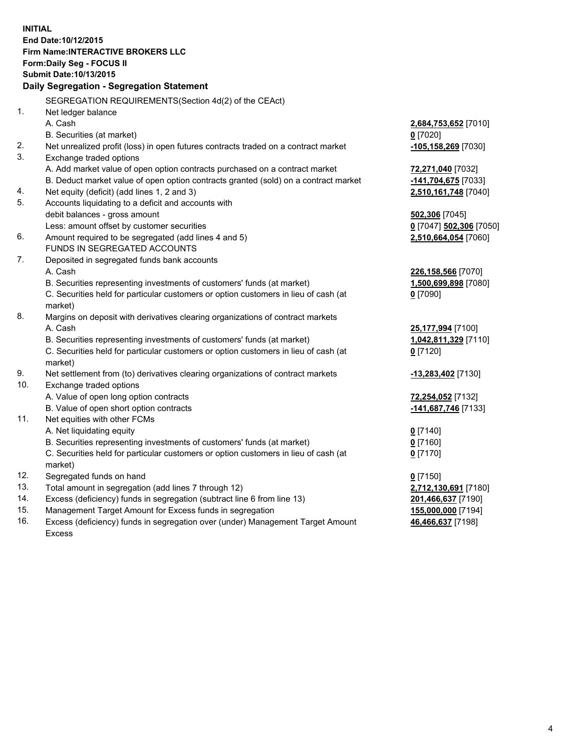**INITIAL End Date:10/12/2015 Firm Name:INTERACTIVE BROKERS LLC Form:Daily Seg - FOCUS II Submit Date:10/13/2015 Daily Segregation - Segregation Statement** SEGREGATION REQUIREMENTS(Section 4d(2) of the CEAct) 1. Net ledger balance A. Cash **2,684,753,652** [7010] B. Securities (at market) **0** [7020] 2. Net unrealized profit (loss) in open futures contracts traded on a contract market **-105,158,269** [7030] 3. Exchange traded options A. Add market value of open option contracts purchased on a contract market **72,271,040** [7032] B. Deduct market value of open option contracts granted (sold) on a contract market **-141,704,675** [7033] 4. Net equity (deficit) (add lines 1, 2 and 3) **2,510,161,748** [7040] 5. Accounts liquidating to a deficit and accounts with debit balances - gross amount **502,306** [7045] Less: amount offset by customer securities **0** [7047] **502,306** [7050] 6. Amount required to be segregated (add lines 4 and 5) **2,510,664,054** [7060] FUNDS IN SEGREGATED ACCOUNTS 7. Deposited in segregated funds bank accounts A. Cash **226,158,566** [7070] B. Securities representing investments of customers' funds (at market) **1,500,699,898** [7080] C. Securities held for particular customers or option customers in lieu of cash (at market) **0** [7090] 8. Margins on deposit with derivatives clearing organizations of contract markets A. Cash **25,177,994** [7100] B. Securities representing investments of customers' funds (at market) **1,042,811,329** [7110] C. Securities held for particular customers or option customers in lieu of cash (at market) **0** [7120] 9. Net settlement from (to) derivatives clearing organizations of contract markets **-13,283,402** [7130] 10. Exchange traded options A. Value of open long option contracts **72,254,052** [7132] B. Value of open short option contracts **-141,687,746** [7133] 11. Net equities with other FCMs A. Net liquidating equity **0** [7140] B. Securities representing investments of customers' funds (at market) **0** [7160] C. Securities held for particular customers or option customers in lieu of cash (at market) **0** [7170] 12. Segregated funds on hand **0** [7150] 13. Total amount in segregation (add lines 7 through 12) **2,712,130,691** [7180] 14. Excess (deficiency) funds in segregation (subtract line 6 from line 13) **201,466,637** [7190] 15. Management Target Amount for Excess funds in segregation **155,000,000** [7194] **46,466,637** [7198]

16. Excess (deficiency) funds in segregation over (under) Management Target Amount Excess